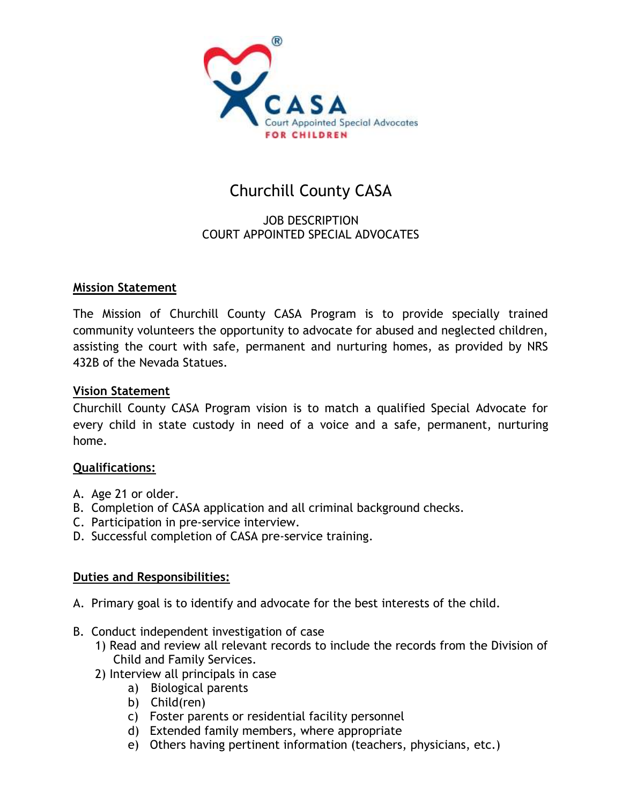

# Churchill County CASA

## JOB DESCRIPTION COURT APPOINTED SPECIAL ADVOCATES

## **Mission Statement**

The Mission of Churchill County CASA Program is to provide specially trained community volunteers the opportunity to advocate for abused and neglected children, assisting the court with safe, permanent and nurturing homes, as provided by NRS 432B of the Nevada Statues.

#### **Vision Statement**

Churchill County CASA Program vision is to match a qualified Special Advocate for every child in state custody in need of a voice and a safe, permanent, nurturing home.

## **Qualifications:**

- A. Age 21 or older.
- B. Completion of CASA application and all criminal background checks.
- C. Participation in pre-service interview.
- D. Successful completion of CASA pre-service training.

## **Duties and Responsibilities:**

- A. Primary goal is to identify and advocate for the best interests of the child.
- B. Conduct independent investigation of case
	- 1) Read and review all relevant records to include the records from the Division of Child and Family Services.
	- 2) Interview all principals in case
		- a) Biological parents
		- b) Child(ren)
		- c) Foster parents or residential facility personnel
		- d) Extended family members, where appropriate
		- e) Others having pertinent information (teachers, physicians, etc.)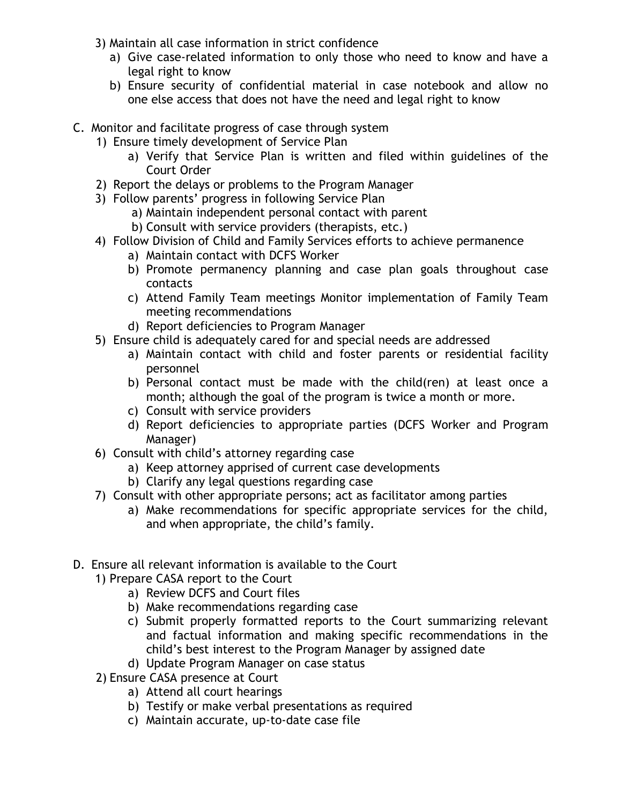- 3) Maintain all case information in strict confidence
	- a) Give case-related information to only those who need to know and have a legal right to know
	- b) Ensure security of confidential material in case notebook and allow no one else access that does not have the need and legal right to know
- C. Monitor and facilitate progress of case through system
	- 1) Ensure timely development of Service Plan
		- a) Verify that Service Plan is written and filed within guidelines of the Court Order
	- 2) Report the delays or problems to the Program Manager
	- 3) Follow parents' progress in following Service Plan
		- a) Maintain independent personal contact with parent
		- b) Consult with service providers (therapists, etc.)
	- 4) Follow Division of Child and Family Services efforts to achieve permanence
		- a) Maintain contact with DCFS Worker
		- b) Promote permanency planning and case plan goals throughout case contacts
		- c) Attend Family Team meetings Monitor implementation of Family Team meeting recommendations
		- d) Report deficiencies to Program Manager
	- 5) Ensure child is adequately cared for and special needs are addressed
		- a) Maintain contact with child and foster parents or residential facility personnel
		- b) Personal contact must be made with the child(ren) at least once a month; although the goal of the program is twice a month or more.
		- c) Consult with service providers
		- d) Report deficiencies to appropriate parties (DCFS Worker and Program Manager)
	- 6) Consult with child's attorney regarding case
		- a) Keep attorney apprised of current case developments
		- b) Clarify any legal questions regarding case
	- 7) Consult with other appropriate persons; act as facilitator among parties
		- a) Make recommendations for specific appropriate services for the child, and when appropriate, the child's family.
- D. Ensure all relevant information is available to the Court
	- 1) Prepare CASA report to the Court
		- a) Review DCFS and Court files
		- b) Make recommendations regarding case
		- c) Submit properly formatted reports to the Court summarizing relevant and factual information and making specific recommendations in the child's best interest to the Program Manager by assigned date
		- d) Update Program Manager on case status
	- 2) Ensure CASA presence at Court
		- a) Attend all court hearings
		- b) Testify or make verbal presentations as required
		- c) Maintain accurate, up-to-date case file